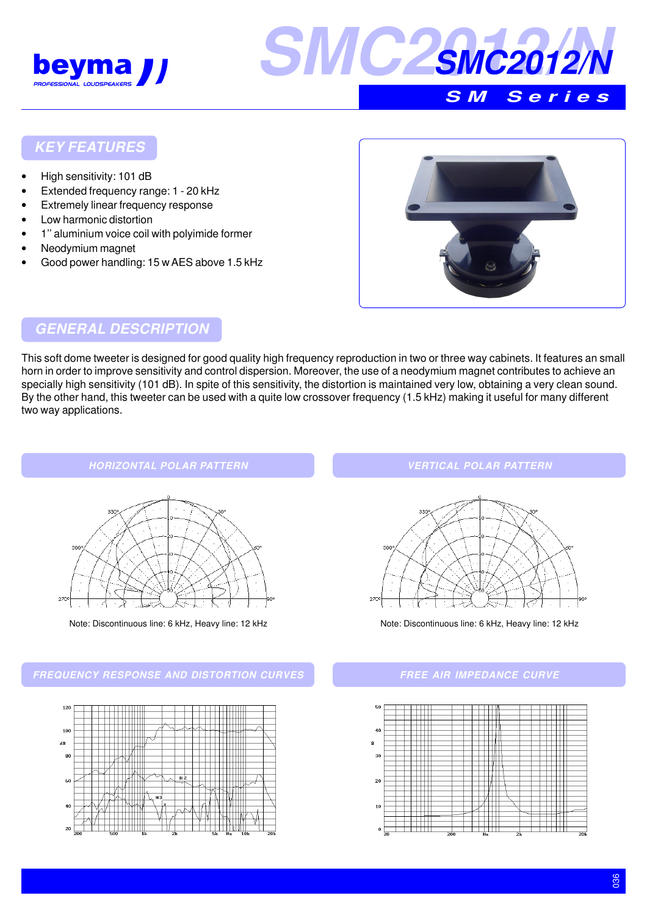



#### **KEY FEATURES**

- High sensitivity: 101 dB
- Extended frequency range: 1 20 kHz
- Extremely linear frequency response
- Low harmonic distortion
- 1" aluminium voice coil with polyimide former
- Neodymium magnet
- Good power handling: 15 w AES above 1.5 kHz



## **GENERAL DESCRIPTION**

This soft dome tweeter is designed for good quality high frequency reproduction in two or three way cabinets. It features an small horn in order to improve sensitivity and control dispersion. Moreover, the use of a neodymium magnet contributes to achieve an specially high sensitivity (101 dB). In spite of this sensitivity, the distortion is maintained very low, obtaining a very clean sound. By the other hand, this tweeter can be used with a quite low crossover frequency (1.5 kHz) making it useful for many different two way applications.





Note: Discontinuous line: 6 kHz, Heavy line: 12 kHz Note: Discontinuous line: 6 kHz, Heavy line: 12 kHz

**FREQUENCY RESPONSE AND DISTORTION CURVES**



**VERTICAL POLAR PATTERN**



#### **FREE AIR IMPEDANCE CURVE**